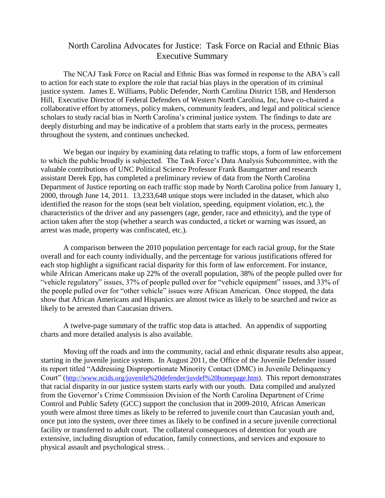## North Carolina Advocates for Justice: Task Force on Racial and Ethnic Bias Executive Summary

The NCAJ Task Force on Racial and Ethnic Bias was formed in response to the ABA's call to action for each state to explore the role that racial bias plays in the operation of its criminal justice system. James E. Williams, Public Defender, North Carolina District 15B, and Henderson Hill, Executive Director of Federal Defenders of Western North Carolina, Inc, have co-chaired a collaborative effort by attorneys, policy makers, community leaders, and legal and political science scholars to study racial bias in North Carolina's criminal justice system. The findings to date are deeply disturbing and may be indicative of a problem that starts early in the process, permeates throughout the system, and continues unchecked.

We began our inquiry by examining data relating to traffic stops, a form of law enforcement to which the public broadly is subjected. The Task Force's Data Analysis Subcommittee, with the valuable contributions of UNC Political Science Professor Frank Baumgartner and research assistant Derek Epp, has completed a preliminary review of data from the North Carolina Department of Justice reporting on each traffic stop made by North Carolina police from January 1, 2000, through June 14, 2011. 13,233,648 unique stops were included in the dataset, which also identified the reason for the stops (seat belt violation, speeding, equipment violation, etc.), the characteristics of the driver and any passengers (age, gender, race and ethnicity), and the type of action taken after the stop (whether a search was conducted, a ticket or warning was issued, an arrest was made, property was confiscated, etc.).

A comparison between the 2010 population percentage for each racial group, for the State overall and for each county individually, and the percentage for various justifications offered for each stop highlight a significant racial disparity for this form of law enforcement. For instance, while African Americans make up 22% of the overall population, 38% of the people pulled over for "vehicle regulatory" issues, 37% of people pulled over for "vehicle equipment" issues, and 33% of the people pulled over for "other vehicle" issues were African American. Once stopped, the data show that African Americans and Hispanics are almost twice as likely to be searched and twice as likely to be arrested than Caucasian drivers.

A twelve-page summary of the traffic stop data is attached. An appendix of supporting charts and more detailed analysis is also available.

Moving off the roads and into the community, racial and ethnic disparate results also appear, starting in the juvenile justice system. In August 2011, the Office of the Juvenile Defender issued its report titled "Addressing Disproportionate Minority Contact (DMC) in Juvenile Delinquency Court" ([http://www.ncids.org/juvenile%20defender/juvdef%20homepage.htm\)](http://www.ncids.org/juvenile%20defender/juvdef%20homepage.htm). This report demonstrates that racial disparity in our justice system starts early with our youth. Data compiled and analyzed from the Governor's Crime Commission Division of the North Carolina Department of Crime Control and Public Safety (GCC) support the conclusion that in 2009-2010, African American youth were almost three times as likely to be referred to juvenile court than Caucasian youth and, once put into the system, over three times as likely to be confined in a secure juvenile correctional facility or transferred to adult court. The collateral consequences of detention for youth are extensive, including disruption of education, family connections, and services and exposure to physical assault and psychological stress. .